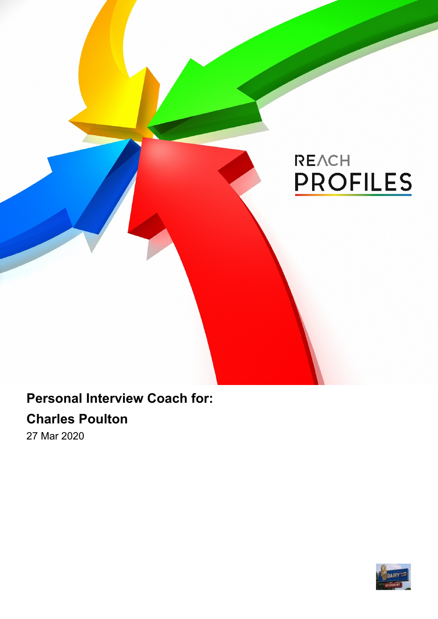# REACH **PROFILES**

### **Personal Interview Coach for:**

### **Charles Poulton**

27 Mar 2020

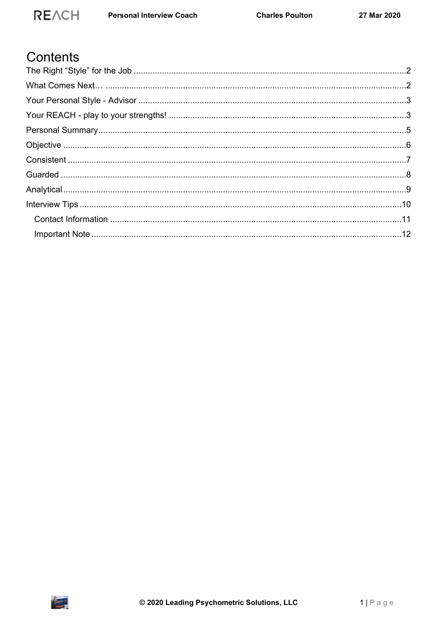### Contents

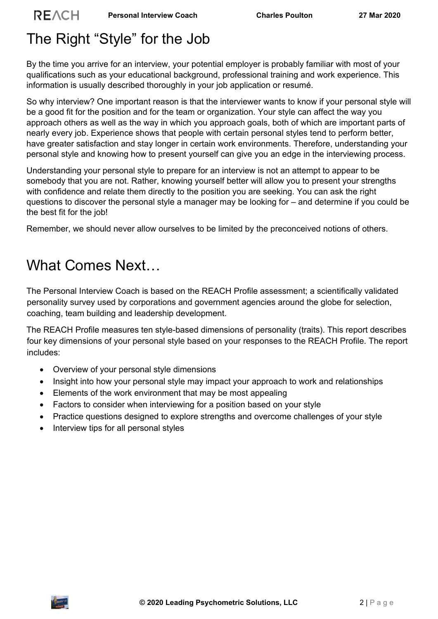## <span id="page-2-0"></span>The Right "Style" for the Job

**REACH** 

By the time you arrive for an interview, your potential employer is probably familiar with most of your qualifications such as your educational background, professional training and work experience. This information is usually described thoroughly in your job application or resumé.

So why interview? One important reason is that the interviewer wants to know if your personal style will be a good fit for the position and for the team or organization. Your style can affect the way you approach others as well as the way in which you approach goals, both of which are important parts of nearly every job. Experience shows that people with certain personal styles tend to perform better, have greater satisfaction and stay longer in certain work environments. Therefore, understanding your personal style and knowing how to present yourself can give you an edge in the interviewing process.

Understanding your personal style to prepare for an interview is not an attempt to appear to be somebody that you are not. Rather, knowing yourself better will allow you to present your strengths with confidence and relate them directly to the position you are seeking. You can ask the right questions to discover the personal style a manager may be looking for – and determine if you could be the best fit for the job!

Remember, we should never allow ourselves to be limited by the preconceived notions of others.

### <span id="page-2-1"></span>What Comes Next…

The Personal Interview Coach is based on the REACH Profile assessment; a scientifically validated personality survey used by corporations and government agencies around the globe for selection, coaching, team building and leadership development.

The REACH Profile measures ten style-based dimensions of personality (traits). This report describes four key dimensions of your personal style based on your responses to the REACH Profile. The report includes:

- Overview of your personal style dimensions
- Insight into how your personal style may impact your approach to work and relationships
- Elements of the work environment that may be most appealing
- Factors to consider when interviewing for a position based on your style
- Practice questions designed to explore strengths and overcome challenges of your style
- Interview tips for all personal styles

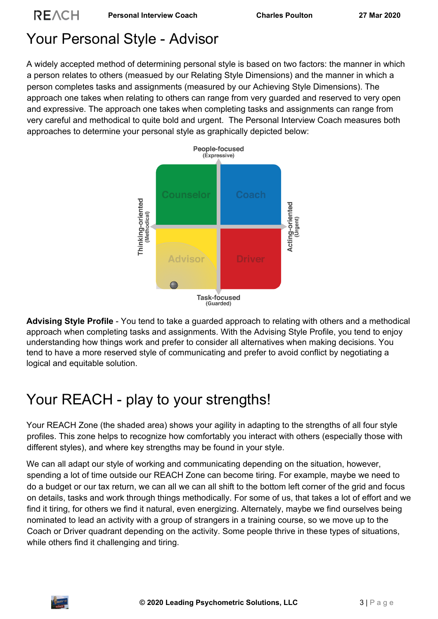## <span id="page-3-0"></span>Your Personal Style - Advisor

**REACH** 

A widely accepted method of determining personal style is based on two factors: the manner in which a person relates to others (measued by our Relating Style Dimensions) and the manner in which a person completes tasks and assignments (measured by our Achieving Style Dimensions). The approach one takes when relating to others can range from very guarded and reserved to very open and expressive. The approach one takes when completing tasks and assignments can range from very careful and methodical to quite bold and urgent. The Personal Interview Coach measures both approaches to determine your personal style as graphically depicted below:



**Advising Style Profile** - You tend to take a guarded approach to relating with others and a methodical approach when completing tasks and assignments. With the Advising Style Profile, you tend to enjoy understanding how things work and prefer to consider all alternatives when making decisions. You tend to have a more reserved style of communicating and prefer to avoid conflict by negotiating a logical and equitable solution.

## <span id="page-3-1"></span>Your REACH - play to your strengths!

Your REACH Zone (the shaded area) shows your agility in adapting to the strengths of all four style profiles. This zone helps to recognize how comfortably you interact with others (especially those with different styles), and where key strengths may be found in your style.

We can all adapt our style of working and communicating depending on the situation, however, spending a lot of time outside our REACH Zone can become tiring. For example, maybe we need to do a budget or our tax return, we can all we can all shift to the bottom left corner of the grid and focus on details, tasks and work through things methodically. For some of us, that takes a lot of effort and we find it tiring, for others we find it natural, even energizing. Alternately, maybe we find ourselves being nominated to lead an activity with a group of strangers in a training course, so we move up to the Coach or Driver quadrant depending on the activity. Some people thrive in these types of situations, while others find it challenging and tiring.

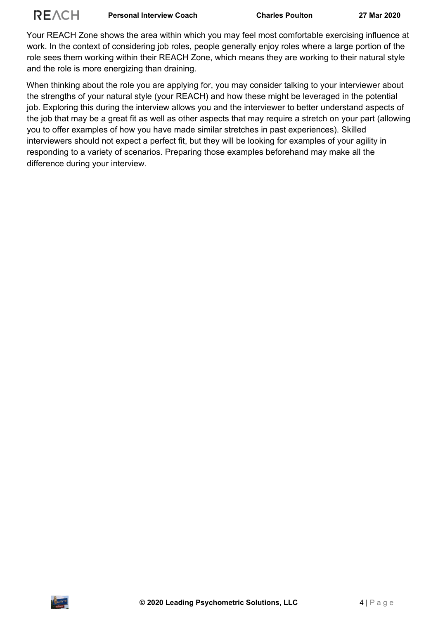

**Personal Interview Coach Charles Poulton 27 Mar 2020**

Your REACH Zone shows the area within which you may feel most comfortable exercising influence at work. In the context of considering job roles, people generally enjoy roles where a large portion of the role sees them working within their REACH Zone, which means they are working to their natural style and the role is more energizing than draining.

When thinking about the role you are applying for, you may consider talking to your interviewer about the strengths of your natural style (your REACH) and how these might be leveraged in the potential job. Exploring this during the interview allows you and the interviewer to better understand aspects of the job that may be a great fit as well as other aspects that may require a stretch on your part (allowing you to offer examples of how you have made similar stretches in past experiences). Skilled interviewers should not expect a perfect fit, but they will be looking for examples of your agility in responding to a variety of scenarios. Preparing those examples beforehand may make all the difference during your interview.

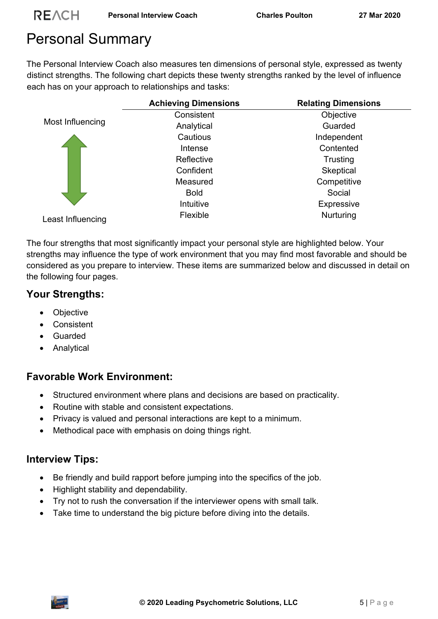## <span id="page-5-0"></span>Personal Summary

The Personal Interview Coach also measures ten dimensions of personal style, expressed as twenty distinct strengths. The following chart depicts these twenty strengths ranked by the level of influence each has on your approach to relationships and tasks:

|                   | <b>Achieving Dimensions</b> | <b>Relating Dimensions</b> |
|-------------------|-----------------------------|----------------------------|
| Most Influencing  | Consistent                  | Objective                  |
|                   | Analytical                  | Guarded                    |
|                   | Cautious                    | Independent                |
|                   | Intense                     | Contented                  |
|                   | Reflective                  | Trusting                   |
|                   | Confident                   | Skeptical                  |
|                   | Measured                    | Competitive                |
|                   | <b>Bold</b>                 | Social                     |
|                   | Intuitive                   | Expressive                 |
| Least Influencing | Flexible                    | Nurturing                  |

The four strengths that most significantly impact your personal style are highlighted below. Your strengths may influence the type of work environment that you may find most favorable and should be considered as you prepare to interview. These items are summarized below and discussed in detail on the following four pages.

### **Your Strengths:**

- Objective
- Consistent
- Guarded
- Analytical

### **Favorable Work Environment:**

- Structured environment where plans and decisions are based on practicality.
- Routine with stable and consistent expectations.
- Privacy is valued and personal interactions are kept to a minimum.
- Methodical pace with emphasis on doing things right.

### **Interview Tips:**

- Be friendly and build rapport before jumping into the specifics of the job.
- Highlight stability and dependability.
- Try not to rush the conversation if the interviewer opens with small talk.
- Take time to understand the big picture before diving into the details.

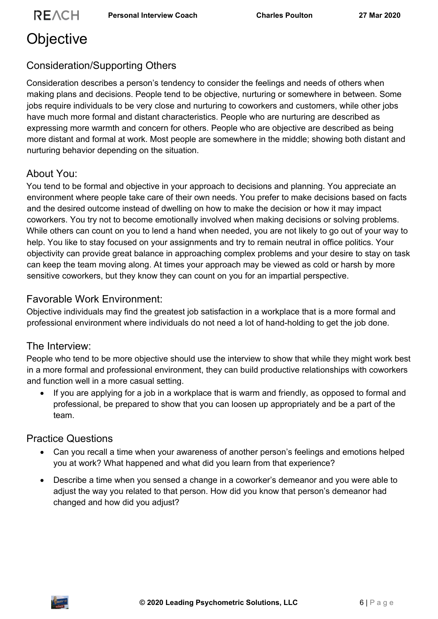## <span id="page-6-0"></span>**Objective**

### Consideration/Supporting Others

Consideration describes a person's tendency to consider the feelings and needs of others when making plans and decisions. People tend to be objective, nurturing or somewhere in between. Some jobs require individuals to be very close and nurturing to coworkers and customers, while other jobs have much more formal and distant characteristics. People who are nurturing are described as expressing more warmth and concern for others. People who are objective are described as being more distant and formal at work. Most people are somewhere in the middle; showing both distant and nurturing behavior depending on the situation.

#### About You:

You tend to be formal and objective in your approach to decisions and planning. You appreciate an environment where people take care of their own needs. You prefer to make decisions based on facts and the desired outcome instead of dwelling on how to make the decision or how it may impact coworkers. You try not to become emotionally involved when making decisions or solving problems. While others can count on you to lend a hand when needed, you are not likely to go out of your way to help. You like to stay focused on your assignments and try to remain neutral in office politics. Your objectivity can provide great balance in approaching complex problems and your desire to stay on task can keep the team moving along. At times your approach may be viewed as cold or harsh by more sensitive coworkers, but they know they can count on you for an impartial perspective.

### Favorable Work Environment:

Objective individuals may find the greatest job satisfaction in a workplace that is a more formal and professional environment where individuals do not need a lot of hand-holding to get the job done.

#### The Interview:

People who tend to be more objective should use the interview to show that while they might work best in a more formal and professional environment, they can build productive relationships with coworkers and function well in a more casual setting.

 If you are applying for a job in a workplace that is warm and friendly, as opposed to formal and professional, be prepared to show that you can loosen up appropriately and be a part of the team.

- Can you recall a time when your awareness of another person's feelings and emotions helped you at work? What happened and what did you learn from that experience?
- Describe a time when you sensed a change in a coworker's demeanor and you were able to adjust the way you related to that person. How did you know that person's demeanor had changed and how did you adjust?

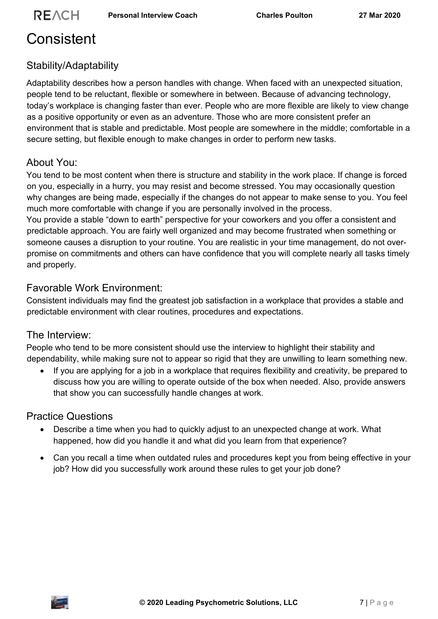## <span id="page-7-0"></span>**Consistent**

### Stability/Adaptability

Adaptability describes how a person handles with change. When faced with an unexpected situation, people tend to be reluctant, flexible or somewhere in between. Because of advancing technology, today's workplace is changing faster than ever. People who are more flexible are likely to view change as a positive opportunity or even as an adventure. Those who are more consistent prefer an environment that is stable and predictable. Most people are somewhere in the middle; comfortable in a secure setting, but flexible enough to make changes in order to perform new tasks.

#### About You:

You tend to be most content when there is structure and stability in the work place. If change is forced on you, especially in a hurry, you may resist and become stressed. You may occasionally question why changes are being made, especially if the changes do not appear to make sense to you. You feel much more comfortable with change if you are personally involved in the process.

You provide a stable "down to earth" perspective for your coworkers and you offer a consistent and predictable approach. You are fairly well organized and may become frustrated when something or someone causes a disruption to your routine. You are realistic in your time management, do not overpromise on commitments and others can have confidence that you will complete nearly all tasks timely and properly.

### Favorable Work Environment:

Consistent individuals may find the greatest job satisfaction in a workplace that provides a stable and predictable environment with clear routines, procedures and expectations.

#### The Interview:

People who tend to be more consistent should use the interview to highlight their stability and dependability, while making sure not to appear so rigid that they are unwilling to learn something new.

 If you are applying for a job in a workplace that requires flexibility and creativity, be prepared to discuss how you are willing to operate outside of the box when needed. Also, provide answers that show you can successfully handle changes at work.

- Describe a time when you had to quickly adjust to an unexpected change at work. What happened, how did you handle it and what did you learn from that experience?
- Can you recall a time when outdated rules and procedures kept you from being effective in your job? How did you successfully work around these rules to get your job done?

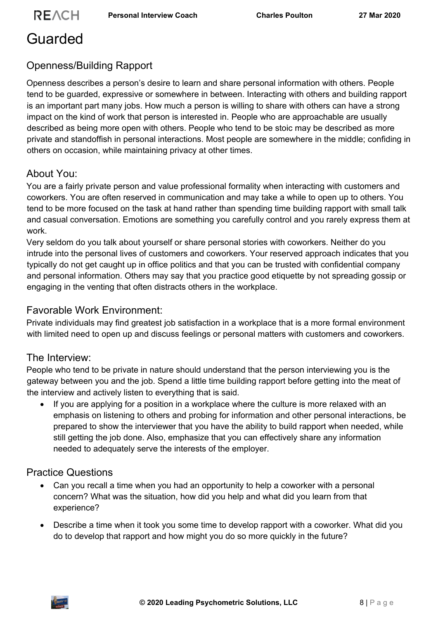## <span id="page-8-0"></span>Guarded

### Openness/Building Rapport

Openness describes a person's desire to learn and share personal information with others. People tend to be guarded, expressive or somewhere in between. Interacting with others and building rapport is an important part many jobs. How much a person is willing to share with others can have a strong impact on the kind of work that person is interested in. People who are approachable are usually described as being more open with others. People who tend to be stoic may be described as more private and standoffish in personal interactions. Most people are somewhere in the middle; confiding in others on occasion, while maintaining privacy at other times.

#### About You:

You are a fairly private person and value professional formality when interacting with customers and coworkers. You are often reserved in communication and may take a while to open up to others. You tend to be more focused on the task at hand rather than spending time building rapport with small talk and casual conversation. Emotions are something you carefully control and you rarely express them at work.

Very seldom do you talk about yourself or share personal stories with coworkers. Neither do you intrude into the personal lives of customers and coworkers. Your reserved approach indicates that you typically do not get caught up in office politics and that you can be trusted with confidential company and personal information. Others may say that you practice good etiquette by not spreading gossip or engaging in the venting that often distracts others in the workplace.

#### Favorable Work Environment:

Private individuals may find greatest job satisfaction in a workplace that is a more formal environment with limited need to open up and discuss feelings or personal matters with customers and coworkers.

#### The Interview:

People who tend to be private in nature should understand that the person interviewing you is the gateway between you and the job. Spend a little time building rapport before getting into the meat of the interview and actively listen to everything that is said.

 If you are applying for a position in a workplace where the culture is more relaxed with an emphasis on listening to others and probing for information and other personal interactions, be prepared to show the interviewer that you have the ability to build rapport when needed, while still getting the job done. Also, emphasize that you can effectively share any information needed to adequately serve the interests of the employer.

- Can you recall a time when you had an opportunity to help a coworker with a personal concern? What was the situation, how did you help and what did you learn from that experience?
- Describe a time when it took you some time to develop rapport with a coworker. What did you do to develop that rapport and how might you do so more quickly in the future?

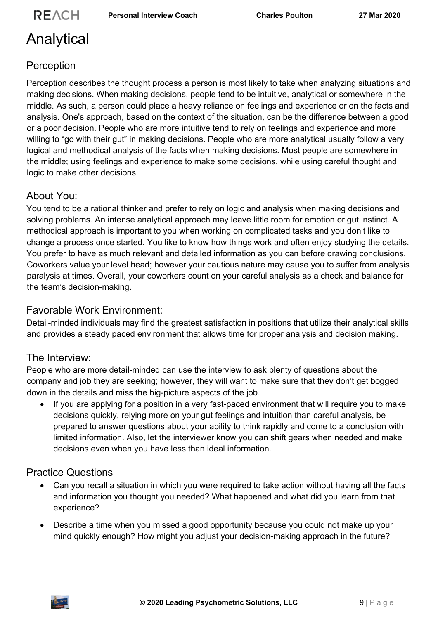## <span id="page-9-0"></span>Analytical

### Perception

Perception describes the thought process a person is most likely to take when analyzing situations and making decisions. When making decisions, people tend to be intuitive, analytical or somewhere in the middle. As such, a person could place a heavy reliance on feelings and experience or on the facts and analysis. One's approach, based on the context of the situation, can be the difference between a good or a poor decision. People who are more intuitive tend to rely on feelings and experience and more willing to "go with their gut" in making decisions. People who are more analytical usually follow a very logical and methodical analysis of the facts when making decisions. Most people are somewhere in the middle; using feelings and experience to make some decisions, while using careful thought and logic to make other decisions.

### About You:

You tend to be a rational thinker and prefer to rely on logic and analysis when making decisions and solving problems. An intense analytical approach may leave little room for emotion or gut instinct. A methodical approach is important to you when working on complicated tasks and you don't like to change a process once started. You like to know how things work and often enjoy studying the details. You prefer to have as much relevant and detailed information as you can before drawing conclusions. Coworkers value your level head; however your cautious nature may cause you to suffer from analysis paralysis at times. Overall, your coworkers count on your careful analysis as a check and balance for the team's decision-making.

#### Favorable Work Environment:

Detail-minded individuals may find the greatest satisfaction in positions that utilize their analytical skills and provides a steady paced environment that allows time for proper analysis and decision making.

#### The Interview:

People who are more detail-minded can use the interview to ask plenty of questions about the company and job they are seeking; however, they will want to make sure that they don't get bogged down in the details and miss the big-picture aspects of the job.

 If you are applying for a position in a very fast-paced environment that will require you to make decisions quickly, relying more on your gut feelings and intuition than careful analysis, be prepared to answer questions about your ability to think rapidly and come to a conclusion with limited information. Also, let the interviewer know you can shift gears when needed and make decisions even when you have less than ideal information.

- Can you recall a situation in which you were required to take action without having all the facts and information you thought you needed? What happened and what did you learn from that experience?
- Describe a time when you missed a good opportunity because you could not make up your mind quickly enough? How might you adjust your decision-making approach in the future?

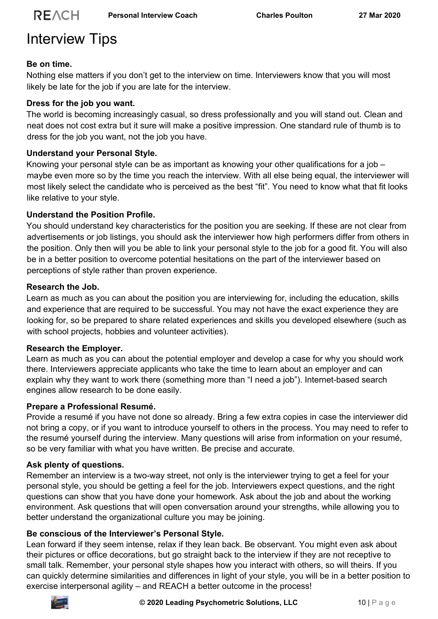## <span id="page-10-0"></span>Interview Tips

#### **Be on time.**

Nothing else matters if you don't get to the interview on time. Interviewers know that you will most likely be late for the job if you are late for the interview.

#### **Dress for the job you want.**

The world is becoming increasingly casual, so dress professionally and you will stand out. Clean and neat does not cost extra but it sure will make a positive impression. One standard rule of thumb is to dress for the job you want, not the job you have.

#### **Understand your Personal Style.**

Knowing your personal style can be as important as knowing your other qualifications for a job – maybe even more so by the time you reach the interview. With all else being equal, the interviewer will most likely select the candidate who is perceived as the best "fit". You need to know what that fit looks like relative to your style.

#### **Understand the Position Profile.**

You should understand key characteristics for the position you are seeking. If these are not clear from advertisements or job listings, you should ask the interviewer how high performers differ from others in the position. Only then will you be able to link your personal style to the job for a good fit. You will also be in a better position to overcome potential hesitations on the part of the interviewer based on perceptions of style rather than proven experience.

#### **Research the Job.**

Learn as much as you can about the position you are interviewing for, including the education, skills and experience that are required to be successful. You may not have the exact experience they are looking for, so be prepared to share related experiences and skills you developed elsewhere (such as with school projects, hobbies and volunteer activities).

#### **Research the Employer.**

Learn as much as you can about the potential employer and develop a case for why you should work there. Interviewers appreciate applicants who take the time to learn about an employer and can explain why they want to work there (something more than "I need a job"). Internet-based search engines allow research to be done easily.

#### **Prepare a Professional Resumé.**

Provide a resumé if you have not done so already. Bring a few extra copies in case the interviewer did not bring a copy, or if you want to introduce yourself to others in the process. You may need to refer to the resumé yourself during the interview. Many questions will arise from information on your resumé, so be very familiar with what you have written. Be precise and accurate.

#### **Ask plenty of questions.**

Remember an interview is a two-way street, not only is the interviewer trying to get a feel for your personal style, you should be getting a feel for the job. Interviewers expect questions, and the right questions can show that you have done your homework. Ask about the job and about the working environment. Ask questions that will open conversation around your strengths, while allowing you to better understand the organizational culture you may be joining.

#### **Be conscious of the Interviewer's Personal Style.**

Lean forward if they seem intense, relax if they lean back. Be observant. You might even ask about their pictures or office decorations, but go straight back to the interview if they are not receptive to small talk. Remember, your personal style shapes how you interact with others, so will theirs. If you can quickly determine similarities and differences in light of your style, you will be in a better position to exercise interpersonal agility – and REACH a better outcome in the process!

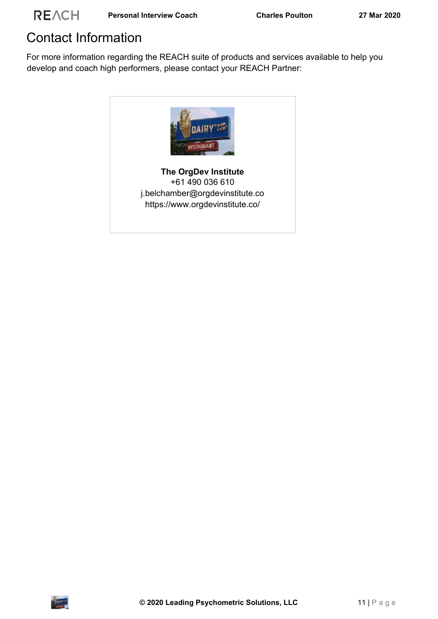### <span id="page-11-0"></span>Contact Information

For more information regarding the REACH suite of products and services available to help you develop and coach high performers, please contact your REACH Partner: